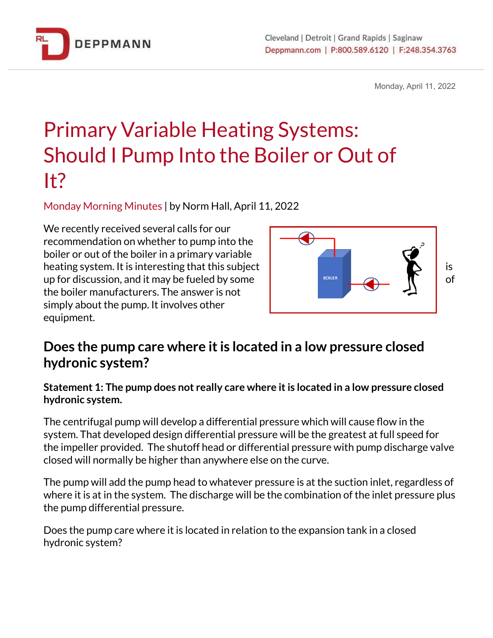

Monday, April 11, 2022

# Primary Variable Heating Systems: Should I Pump Into the Boiler or Out of It?

Monday Morning Minutes | by Norm Hall, April 11, 2022

We recently received several calls for our recommendation on whether to pump into the boiler or out of the boiler in a primary variable heating system. It is interesting that this subject  $\begin{array}{ccc} \blacksquare \end{array}$  is up for discussion, and it may be fueled by some the boiler manufacturers. The answer is not simply about the pump. It involves other equipment.



## **Does the pump care where itis located in a low pressure closed hydronic system?**

**Statement 1: The pump does not really care where itis located in a low pressure closed hydronic system.**

The centrifugal pump will develop a differential pressure which will cause flow in the system. That developed design differential pressure will be the greatest at full speed for the impeller provided. The shutoff head or differential pressure with pump discharge valve closed will normally be higher than anywhere else on the curve.

The pump will add the pump head to whatever pressure is at the suction inlet, regardless of where it is at in the system. The discharge will be the combination of the inlet pressure plus the pump differential pressure.

Does the pump care where it is located in relation to the expansion tank in a closed hydronic system?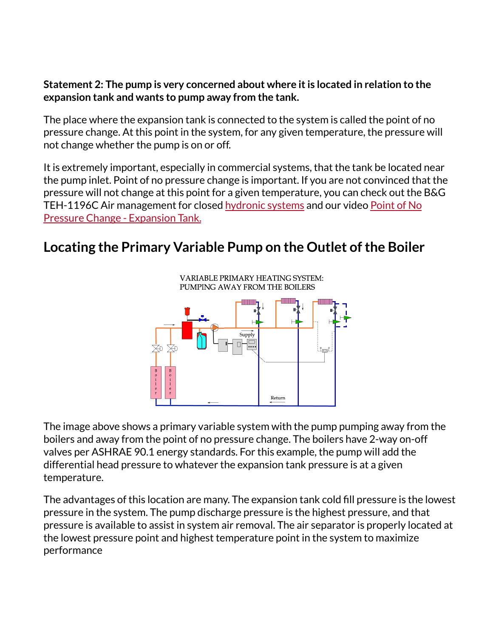#### **Statement 2: The pump is very concerned about where itis located in relation to the expansion tank and wants to pump away from the tank.**

The place where the expansion tank is connected to the system is called the point of no pressure change. At this point in the system, for any given temperature, the pressure will not change whether the pump is on or off.

It is extremely important, especially in commercial systems, that the tank be located near the pump inlet. Point of no pressure change is important. If you are not convinced that the pressure will not change at this point for a given temperature, you can check out the B&G TEH-1196C Air management for closed [hydronic](https://bit.ly/38gaqF4) systems and our video [Point](http://bit.ly/2YQIm9o) of No Pressure Change - [Expansion](http://bit.ly/2YQIm9o) Tank.

# **Locating the Primary Variable Pump on the Outlet ofthe Boiler**



The image above shows a primary variable system with the pump pumping away from the boilers and away from the point of no pressure change. The boilers have 2-way on-off valves per ASHRAE 90.1 energy standards. For this example, the pump will add the differential head pressure to whatever the expansion tank pressure is at a given temperature.

The advantages of this location are many. The expansion tank cold fill pressure is the lowest pressure in the system. The pump discharge pressure is the highest pressure, and that pressure is available to assist in system air removal. The air separator is properly located at the lowest pressure point and highest temperature point in the system to maximize performance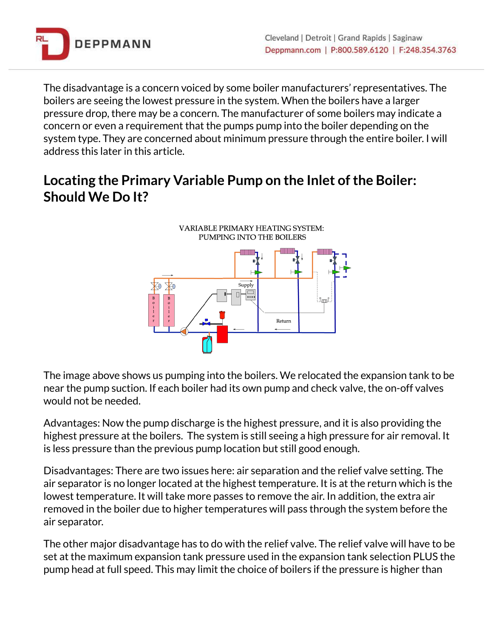

The disadvantage is a concern voiced by some boiler manufacturers' representatives. The boilers are seeing the lowest pressure in the system. When the boilers have a larger pressure drop, there may be a concern. The manufacturer of some boilers may indicate a concern or even a requirement that the pumps pump into the boiler depending on the system type. They are concerned about minimum pressure through the entire boiler. I will address this later in this article.

# **Locating the Primary Variable Pump on the Inlet ofthe Boiler: Should We Do It?**



The image above shows us pumping into the boilers. We relocated the expansion tank to be near the pump suction. If each boiler had its own pump and check valve, the on-off valves would not be needed.

Advantages: Now the pump discharge is the highest pressure, and it is also providing the highest pressure at the boilers. The system is still seeing a high pressure for air removal. It is less pressure than the previous pump location but still good enough.

Disadvantages: There are two issues here: air separation and the relief valve setting. The air separator is no longer located at the highest temperature. It is at the return which is the lowest temperature. It will take more passes to remove the air. In addition, the extra air removed in the boiler due to higher temperatures will pass through the system before the air separator.

The other major disadvantage has to do with the relief valve. The relief valve will have to be set at the maximum expansion tank pressure used in the expansion tank selection PLUS the pump head at full speed. This may limit the choice of boilers if the pressure is higher than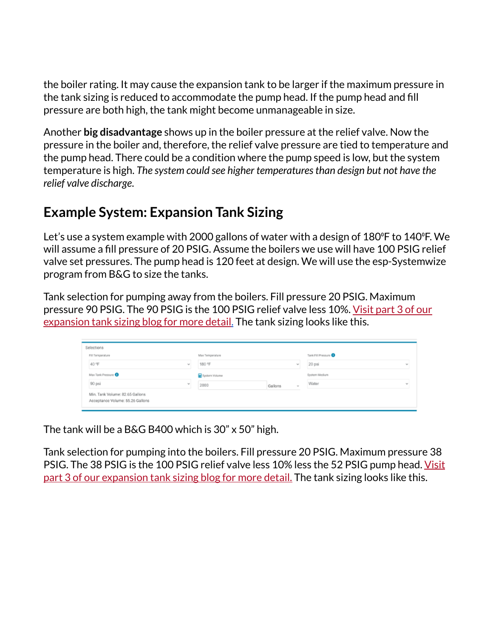the boiler rating. It may cause the expansion tank to be larger if the maximum pressure in the tank sizing is reduced to accommodate the pump head. If the pump head and fill pressure are both high, the tank might become unmanageable in size.

Another **big disadvantage** shows up in the boiler pressure at the relief valve. Now the pressure in the boiler and, therefore, the relief valve pressure are tied to temperature and the pump head. There could be a condition where the pump speed is low, but the system temperature is high. *The system could see higher temperaturesthan design but not have the relief valve discharge*.

## **Example System: Expansion Tank Sizing**

Let's use a system example with 2000 gallons of water with a design of 180 °F to 140 °F. We will assume a fill pressure of 20 PSIG. Assume the boilers we use will have 100 PSIG relief valve set pressures. The pump head is 120 feet at design. We will use the esp-Systemwize program from B&G to size the tanks.

Tank selection for pumping away from the boilers. Fill pressure 20 PSIG. Maximum pressure 90 PSIG. The 90 PSIG is the 100 PSIG relief valve less 10%. [Visit](https://bit.ly/38ijtok) part 3 of our [expansion](https://bit.ly/38ijtok) tank sizing blog for more detail. The tank sizing looks like this.

| Selections                                                          |  |                                     |         |        |                      |          |
|---------------------------------------------------------------------|--|-------------------------------------|---------|--------|----------------------|----------|
| Fill Temperature                                                    |  | Max Temperature<br>180 °F<br>$\sim$ |         |        | Tank Fill Pressure O |          |
| 40 °F<br>w.                                                         |  |                                     |         |        | 20 psi               | $\omega$ |
| Max Tank Pressure <b>O</b>                                          |  | System Volume                       |         |        | System Medium        |          |
| 90 psi<br>W.                                                        |  | 2000                                | Gallons | $\sim$ | Water                | <b>W</b> |
| Min. Tank Volume: 82.65 Gallons<br>Acceptance Volume: 55.26 Gallons |  |                                     |         |        |                      |          |

The tank will be a B&G B400 which is 30" x 50" high.

Tank selection for pumping into the boilers. Fill pressure 20 PSIG. Maximum pressure 38 PSIG. The 38 PSIG is the 100 PSIG relief valve less 10% less the 52 PSIG pump head. [Visit](https://bit.ly/38ijtok) part 3 of our [expansion](https://bit.ly/38ijtok) tank sizing blog for more detail. The tank sizing looks like this.